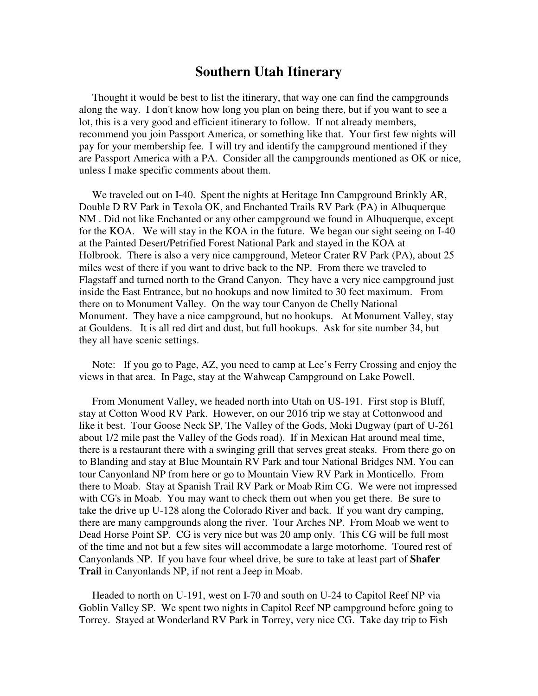## **Southern Utah Itinerary**

 Thought it would be best to list the itinerary, that way one can find the campgrounds along the way. I don't know how long you plan on being there, but if you want to see a lot, this is a very good and efficient itinerary to follow. If not already members, recommend you join Passport America, or something like that. Your first few nights will pay for your membership fee. I will try and identify the campground mentioned if they are Passport America with a PA. Consider all the campgrounds mentioned as OK or nice, unless I make specific comments about them.

We traveled out on I-40. Spent the nights at Heritage Inn Campground Brinkly AR, Double D RV Park in Texola OK, and Enchanted Trails RV Park (PA) in Albuquerque NM . Did not like Enchanted or any other campground we found in Albuquerque, except for the KOA. We will stay in the KOA in the future. We began our sight seeing on I-40 at the Painted Desert/Petrified Forest National Park and stayed in the KOA at Holbrook. There is also a very nice campground, Meteor Crater RV Park (PA), about 25 miles west of there if you want to drive back to the NP. From there we traveled to Flagstaff and turned north to the Grand Canyon. They have a very nice campground just inside the East Entrance, but no hookups and now limited to 30 feet maximum. From there on to Monument Valley. On the way tour Canyon de Chelly National Monument. They have a nice campground, but no hookups. At Monument Valley, stay at Gouldens. It is all red dirt and dust, but full hookups. Ask for site number 34, but they all have scenic settings.

 Note: If you go to Page, AZ, you need to camp at Lee's Ferry Crossing and enjoy the views in that area. In Page, stay at the Wahweap Campground on Lake Powell.

 From Monument Valley, we headed north into Utah on US-191. First stop is Bluff, stay at Cotton Wood RV Park. However, on our 2016 trip we stay at Cottonwood and like it best. Tour Goose Neck SP, The Valley of the Gods, Moki Dugway (part of U-261 about 1/2 mile past the Valley of the Gods road). If in Mexican Hat around meal time, there is a restaurant there with a swinging grill that serves great steaks. From there go on to Blanding and stay at Blue Mountain RV Park and tour National Bridges NM. You can tour Canyonland NP from here or go to Mountain View RV Park in Monticello. From there to Moab. Stay at Spanish Trail RV Park or Moab Rim CG. We were not impressed with CG's in Moab. You may want to check them out when you get there. Be sure to take the drive up U-128 along the Colorado River and back. If you want dry camping, there are many campgrounds along the river. Tour Arches NP. From Moab we went to Dead Horse Point SP. CG is very nice but was 20 amp only. This CG will be full most of the time and not but a few sites will accommodate a large motorhome. Toured rest of Canyonlands NP. If you have four wheel drive, be sure to take at least part of **Shafer Trail** in Canyonlands NP, if not rent a Jeep in Moab.

 Headed to north on U-191, west on I-70 and south on U-24 to Capitol Reef NP via Goblin Valley SP. We spent two nights in Capitol Reef NP campground before going to Torrey. Stayed at Wonderland RV Park in Torrey, very nice CG. Take day trip to Fish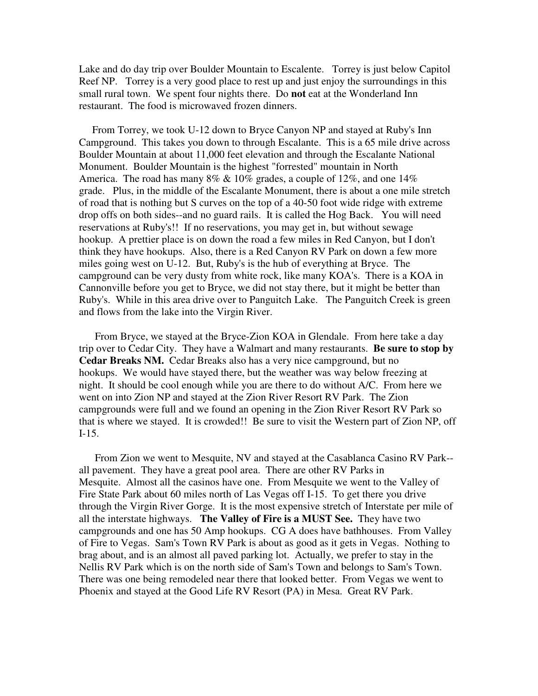Lake and do day trip over Boulder Mountain to Escalente. Torrey is just below Capitol Reef NP. Torrey is a very good place to rest up and just enjoy the surroundings in this small rural town. We spent four nights there. Do **not** eat at the Wonderland Inn restaurant. The food is microwaved frozen dinners.

 From Torrey, we took U-12 down to Bryce Canyon NP and stayed at Ruby's Inn Campground. This takes you down to through Escalante. This is a 65 mile drive across Boulder Mountain at about 11,000 feet elevation and through the Escalante National Monument. Boulder Mountain is the highest "forrested" mountain in North America. The road has many  $8\% \& 10\%$  grades, a couple of  $12\%$ , and one  $14\%$ grade. Plus, in the middle of the Escalante Monument, there is about a one mile stretch of road that is nothing but S curves on the top of a 40-50 foot wide ridge with extreme drop offs on both sides--and no guard rails. It is called the Hog Back. You will need reservations at Ruby's!! If no reservations, you may get in, but without sewage hookup. A prettier place is on down the road a few miles in Red Canyon, but I don't think they have hookups. Also, there is a Red Canyon RV Park on down a few more miles going west on U-12. But, Ruby's is the hub of everything at Bryce. The campground can be very dusty from white rock, like many KOA's. There is a KOA in Cannonville before you get to Bryce, we did not stay there, but it might be better than Ruby's. While in this area drive over to Panguitch Lake. The Panguitch Creek is green and flows from the lake into the Virgin River.

 From Bryce, we stayed at the Bryce-Zion KOA in Glendale. From here take a day trip over to Cedar City. They have a Walmart and many restaurants. **Be sure to stop by Cedar Breaks NM.** Cedar Breaks also has a very nice campground, but no hookups. We would have stayed there, but the weather was way below freezing at night. It should be cool enough while you are there to do without A/C. From here we went on into Zion NP and stayed at the Zion River Resort RV Park. The Zion campgrounds were full and we found an opening in the Zion River Resort RV Park so that is where we stayed. It is crowded!! Be sure to visit the Western part of Zion NP, off I-15.

 From Zion we went to Mesquite, NV and stayed at the Casablanca Casino RV Park- all pavement. They have a great pool area. There are other RV Parks in Mesquite. Almost all the casinos have one. From Mesquite we went to the Valley of Fire State Park about 60 miles north of Las Vegas off I-15. To get there you drive through the Virgin River Gorge. It is the most expensive stretch of Interstate per mile of all the interstate highways. **The Valley of Fire is a MUST See.** They have two campgrounds and one has 50 Amp hookups. CG A does have bathhouses. From Valley of Fire to Vegas. Sam's Town RV Park is about as good as it gets in Vegas. Nothing to brag about, and is an almost all paved parking lot. Actually, we prefer to stay in the Nellis RV Park which is on the north side of Sam's Town and belongs to Sam's Town. There was one being remodeled near there that looked better. From Vegas we went to Phoenix and stayed at the Good Life RV Resort (PA) in Mesa. Great RV Park.